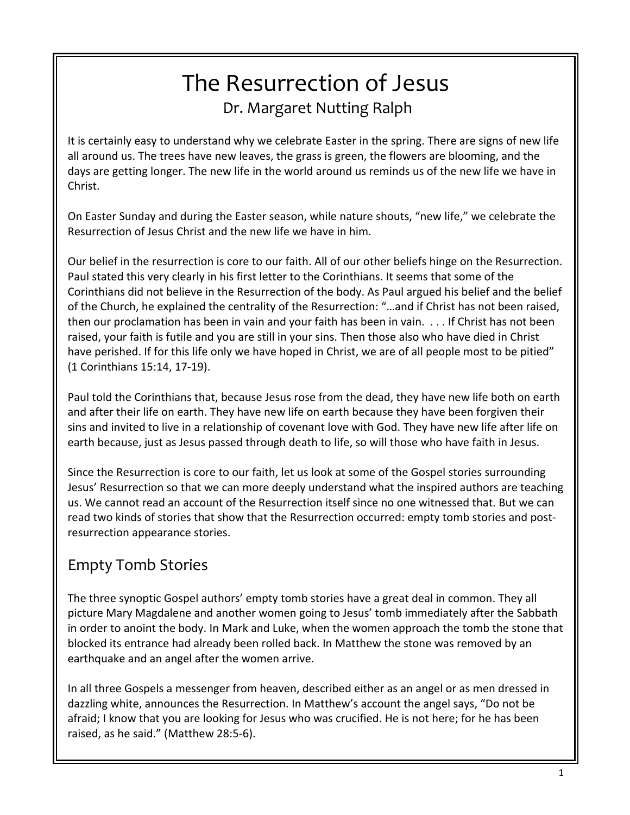# The Resurrection of Jesus Dr. Margaret Nutting Ralph

It is certainly easy to understand why we celebrate Easter in the spring. There are signs of new life all around us. The trees have new leaves, the grass is green, the flowers are blooming, and the days are getting longer. The new life in the world around us reminds us of the new life we have in Christ.

On Easter Sunday and during the Easter season, while nature shouts, "new life," we celebrate the Resurrection of Jesus Christ and the new life we have in him.

Our belief in the resurrection is core to our faith. All of our other beliefs hinge on the Resurrection. Paul stated this very clearly in his first letter to the Corinthians. It seems that some of the Corinthians did not believe in the Resurrection of the body. As Paul argued his belief and the belief of the Church, he explained the centrality of the Resurrection: "…and if Christ has not been raised, then our proclamation has been in vain and your faith has been in vain. . . . If Christ has not been raised, your faith is futile and you are still in your sins. Then those also who have died in Christ have perished. If for this life only we have hoped in Christ, we are of all people most to be pitied" (1 Corinthians 15:14, 17-19).

Paul told the Corinthians that, because Jesus rose from the dead, they have new life both on earth and after their life on earth. They have new life on earth because they have been forgiven their sins and invited to live in a relationship of covenant love with God. They have new life after life on earth because, just as Jesus passed through death to life, so will those who have faith in Jesus.

Since the Resurrection is core to our faith, let us look at some of the Gospel stories surrounding Jesus' Resurrection so that we can more deeply understand what the inspired authors are teaching us. We cannot read an account of the Resurrection itself since no one witnessed that. But we can read two kinds of stories that show that the Resurrection occurred: empty tomb stories and postresurrection appearance stories.

## Empty Tomb Stories

The three synoptic Gospel authors' empty tomb stories have a great deal in common. They all picture Mary Magdalene and another women going to Jesus' tomb immediately after the Sabbath in order to anoint the body. In Mark and Luke, when the women approach the tomb the stone that blocked its entrance had already been rolled back. In Matthew the stone was removed by an earthquake and an angel after the women arrive.

In all three Gospels a messenger from heaven, described either as an angel or as men dressed in dazzling white, announces the Resurrection. In Matthew's account the angel says, "Do not be afraid; I know that you are looking for Jesus who was crucified. He is not here; for he has been raised, as he said." (Matthew 28:5-6).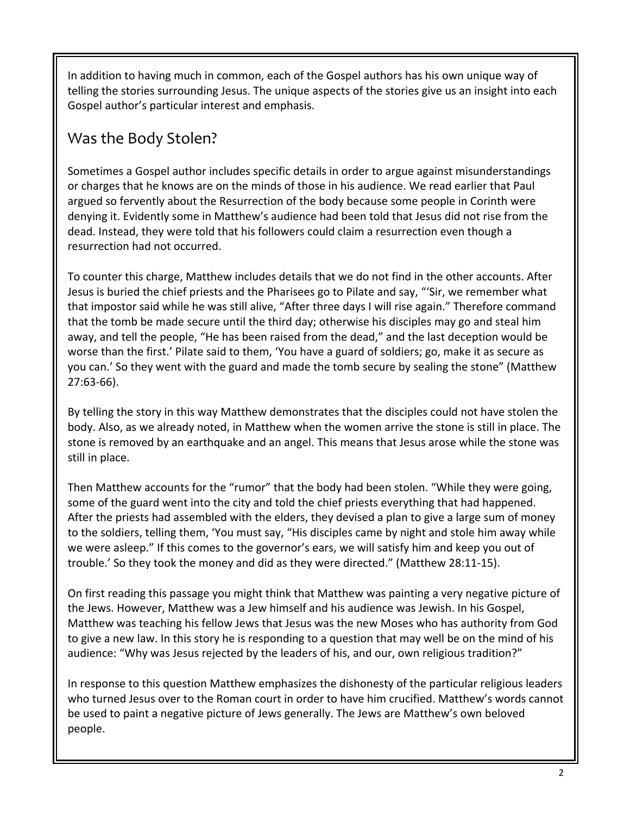In addition to having much in common, each of the Gospel authors has his own unique way of telling the stories surrounding Jesus. The unique aspects of the stories give us an insight into each Gospel author's particular interest and emphasis.

### Was the Body Stolen?

Sometimes a Gospel author includes specific details in order to argue against misunderstandings or charges that he knows are on the minds of those in his audience. We read earlier that Paul argued so fervently about the Resurrection of the body because some people in Corinth were denying it. Evidently some in Matthew's audience had been told that Jesus did not rise from the dead. Instead, they were told that his followers could claim a resurrection even though a resurrection had not occurred.

To counter this charge, Matthew includes details that we do not find in the other accounts. After Jesus is buried the chief priests and the Pharisees go to Pilate and say, "'Sir, we remember what that impostor said while he was still alive, "After three days I will rise again." Therefore command that the tomb be made secure until the third day; otherwise his disciples may go and steal him away, and tell the people, "He has been raised from the dead," and the last deception would be worse than the first.' Pilate said to them, 'You have a guard of soldiers; go, make it as secure as you can.' So they went with the guard and made the tomb secure by sealing the stone" (Matthew 27:63-66).

By telling the story in this way Matthew demonstrates that the disciples could not have stolen the body. Also, as we already noted, in Matthew when the women arrive the stone is still in place. The stone is removed by an earthquake and an angel. This means that Jesus arose while the stone was still in place.

Then Matthew accounts for the "rumor" that the body had been stolen. "While they were going, some of the guard went into the city and told the chief priests everything that had happened. After the priests had assembled with the elders, they devised a plan to give a large sum of money to the soldiers, telling them, 'You must say, "His disciples came by night and stole him away while we were asleep." If this comes to the governor's ears, we will satisfy him and keep you out of trouble.' So they took the money and did as they were directed." (Matthew 28:11-15).

On first reading this passage you might think that Matthew was painting a very negative picture of the Jews. However, Matthew was a Jew himself and his audience was Jewish. In his Gospel, Matthew was teaching his fellow Jews that Jesus was the new Moses who has authority from God to give a new law. In this story he is responding to a question that may well be on the mind of his audience: "Why was Jesus rejected by the leaders of his, and our, own religious tradition?"

In response to this question Matthew emphasizes the dishonesty of the particular religious leaders who turned Jesus over to the Roman court in order to have him crucified. Matthew's words cannot be used to paint a negative picture of Jews generally. The Jews are Matthew's own beloved people.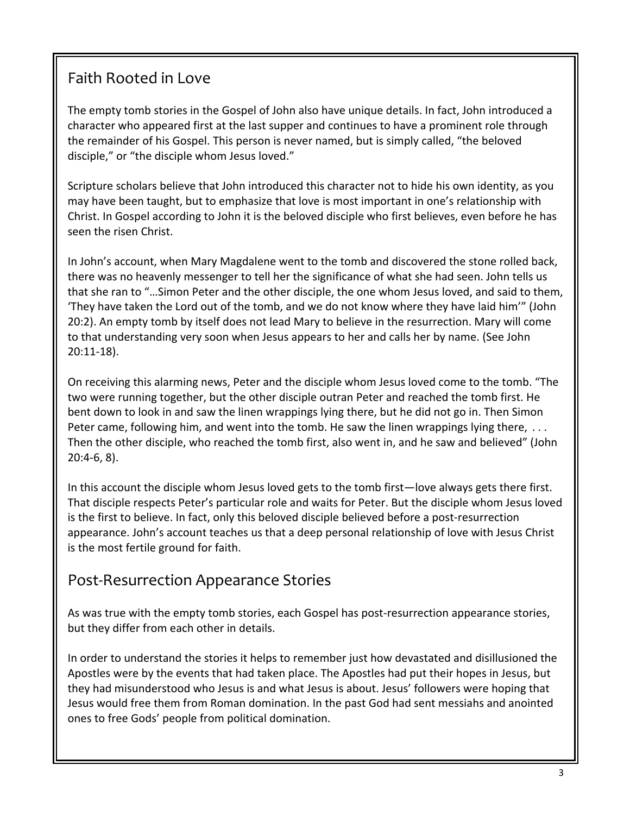### Faith Rooted in Love

The empty tomb stories in the Gospel of John also have unique details. In fact, John introduced a character who appeared first at the last supper and continues to have a prominent role through the remainder of his Gospel. This person is never named, but is simply called, "the beloved disciple," or "the disciple whom Jesus loved."

Scripture scholars believe that John introduced this character not to hide his own identity, as you may have been taught, but to emphasize that love is most important in one's relationship with Christ. In Gospel according to John it is the beloved disciple who first believes, even before he has seen the risen Christ.

In John's account, when Mary Magdalene went to the tomb and discovered the stone rolled back, there was no heavenly messenger to tell her the significance of what she had seen. John tells us that she ran to "…Simon Peter and the other disciple, the one whom Jesus loved, and said to them, 'They have taken the Lord out of the tomb, and we do not know where they have laid him'" (John 20:2). An empty tomb by itself does not lead Mary to believe in the resurrection. Mary will come to that understanding very soon when Jesus appears to her and calls her by name. (See John 20:11-18).

On receiving this alarming news, Peter and the disciple whom Jesus loved come to the tomb. "The two were running together, but the other disciple outran Peter and reached the tomb first. He bent down to look in and saw the linen wrappings lying there, but he did not go in. Then Simon Peter came, following him, and went into the tomb. He saw the linen wrappings lying there, ... Then the other disciple, who reached the tomb first, also went in, and he saw and believed" (John 20:4-6, 8).

In this account the disciple whom Jesus loved gets to the tomb first—love always gets there first. That disciple respects Peter's particular role and waits for Peter. But the disciple whom Jesus loved is the first to believe. In fact, only this beloved disciple believed before a post-resurrection appearance. John's account teaches us that a deep personal relationship of love with Jesus Christ is the most fertile ground for faith.

#### Post-Resurrection Appearance Stories

As was true with the empty tomb stories, each Gospel has post-resurrection appearance stories, but they differ from each other in details.

In order to understand the stories it helps to remember just how devastated and disillusioned the Apostles were by the events that had taken place. The Apostles had put their hopes in Jesus, but they had misunderstood who Jesus is and what Jesus is about. Jesus' followers were hoping that Jesus would free them from Roman domination. In the past God had sent messiahs and anointed ones to free Gods' people from political domination.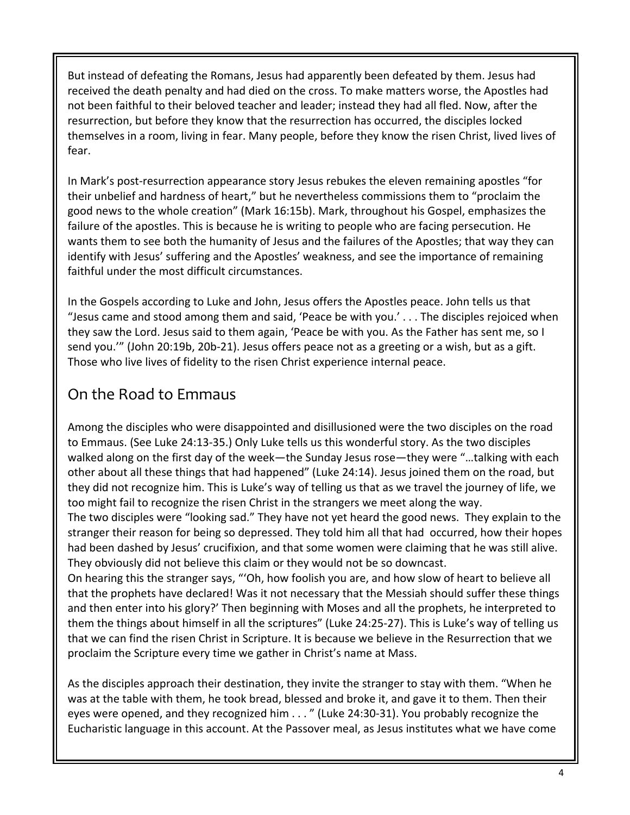But instead of defeating the Romans, Jesus had apparently been defeated by them. Jesus had received the death penalty and had died on the cross. To make matters worse, the Apostles had not been faithful to their beloved teacher and leader; instead they had all fled. Now, after the resurrection, but before they know that the resurrection has occurred, the disciples locked themselves in a room, living in fear. Many people, before they know the risen Christ, lived lives of fear.

In Mark's post-resurrection appearance story Jesus rebukes the eleven remaining apostles "for their unbelief and hardness of heart," but he nevertheless commissions them to "proclaim the good news to the whole creation" (Mark 16:15b). Mark, throughout his Gospel, emphasizes the failure of the apostles. This is because he is writing to people who are facing persecution. He wants them to see both the humanity of Jesus and the failures of the Apostles; that way they can identify with Jesus' suffering and the Apostles' weakness, and see the importance of remaining faithful under the most difficult circumstances.

In the Gospels according to Luke and John, Jesus offers the Apostles peace. John tells us that "Jesus came and stood among them and said, 'Peace be with you.' . . . The disciples rejoiced when they saw the Lord. Jesus said to them again, 'Peace be with you. As the Father has sent me, so I send you.'" (John 20:19b, 20b-21). Jesus offers peace not as a greeting or a wish, but as a gift. Those who live lives of fidelity to the risen Christ experience internal peace.

## On the Road to Emmaus

Among the disciples who were disappointed and disillusioned were the two disciples on the road to Emmaus. (See Luke 24:13-35.) Only Luke tells us this wonderful story. As the two disciples walked along on the first day of the week—the Sunday Jesus rose—they were "…talking with each other about all these things that had happened" (Luke 24:14). Jesus joined them on the road, but they did not recognize him. This is Luke's way of telling us that as we travel the journey of life, we too might fail to recognize the risen Christ in the strangers we meet along the way.

The two disciples were "looking sad." They have not yet heard the good news. They explain to the stranger their reason for being so depressed. They told him all that had occurred, how their hopes had been dashed by Jesus' crucifixion, and that some women were claiming that he was still alive. They obviously did not believe this claim or they would not be so downcast.

On hearing this the stranger says, "'Oh, how foolish you are, and how slow of heart to believe all that the prophets have declared! Was it not necessary that the Messiah should suffer these things and then enter into his glory?' Then beginning with Moses and all the prophets, he interpreted to them the things about himself in all the scriptures" (Luke 24:25-27). This is Luke's way of telling us that we can find the risen Christ in Scripture. It is because we believe in the Resurrection that we proclaim the Scripture every time we gather in Christ's name at Mass.

As the disciples approach their destination, they invite the stranger to stay with them. "When he was at the table with them, he took bread, blessed and broke it, and gave it to them. Then their eyes were opened, and they recognized him . . . " (Luke 24:30-31). You probably recognize the Eucharistic language in this account. At the Passover meal, as Jesus institutes what we have come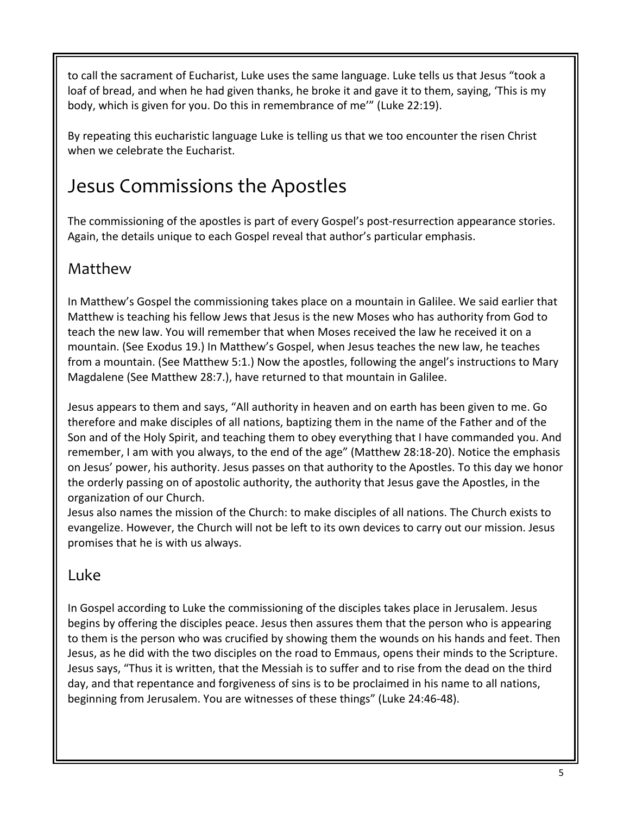to call the sacrament of Eucharist, Luke uses the same language. Luke tells us that Jesus "took a loaf of bread, and when he had given thanks, he broke it and gave it to them, saying, 'This is my body, which is given for you. Do this in remembrance of me'" (Luke 22:19).

By repeating this eucharistic language Luke is telling us that we too encounter the risen Christ when we celebrate the Eucharist.

# Jesus Commissions the Apostles

The commissioning of the apostles is part of every Gospel's post-resurrection appearance stories. Again, the details unique to each Gospel reveal that author's particular emphasis.

## Matthew

In Matthew's Gospel the commissioning takes place on a mountain in Galilee. We said earlier that Matthew is teaching his fellow Jews that Jesus is the new Moses who has authority from God to teach the new law. You will remember that when Moses received the law he received it on a mountain. (See Exodus 19.) In Matthew's Gospel, when Jesus teaches the new law, he teaches from a mountain. (See Matthew 5:1.) Now the apostles, following the angel's instructions to Mary Magdalene (See Matthew 28:7.), have returned to that mountain in Galilee.

Jesus appears to them and says, "All authority in heaven and on earth has been given to me. Go therefore and make disciples of all nations, baptizing them in the name of the Father and of the Son and of the Holy Spirit, and teaching them to obey everything that I have commanded you. And remember, I am with you always, to the end of the age" (Matthew 28:18-20). Notice the emphasis on Jesus' power, his authority. Jesus passes on that authority to the Apostles. To this day we honor the orderly passing on of apostolic authority, the authority that Jesus gave the Apostles, in the organization of our Church.

Jesus also names the mission of the Church: to make disciples of all nations. The Church exists to evangelize. However, the Church will not be left to its own devices to carry out our mission. Jesus promises that he is with us always.

#### Luke

In Gospel according to Luke the commissioning of the disciples takes place in Jerusalem. Jesus begins by offering the disciples peace. Jesus then assures them that the person who is appearing to them is the person who was crucified by showing them the wounds on his hands and feet. Then Jesus, as he did with the two disciples on the road to Emmaus, opens their minds to the Scripture. Jesus says, "Thus it is written, that the Messiah is to suffer and to rise from the dead on the third day, and that repentance and forgiveness of sins is to be proclaimed in his name to all nations, beginning from Jerusalem. You are witnesses of these things" (Luke 24:46-48).